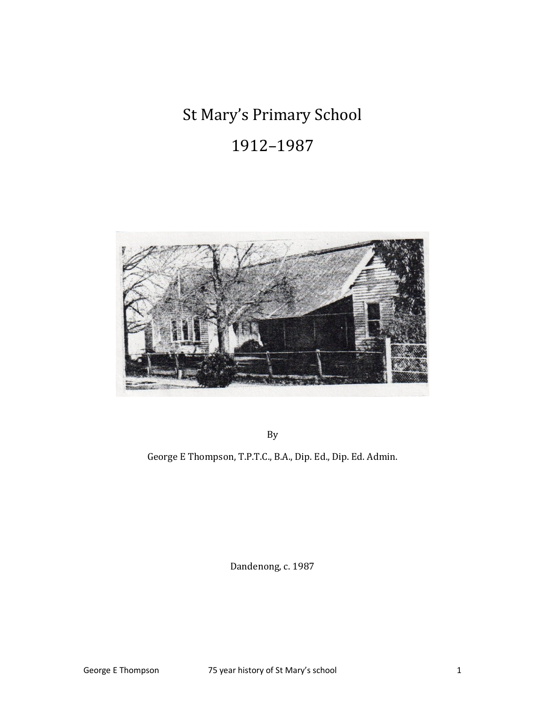# St Mary's Primary School

# 1912–1987



By

George E Thompson, T.P.T.C., B.A., Dip. Ed., Dip. Ed. Admin.

Dandenong, c. 1987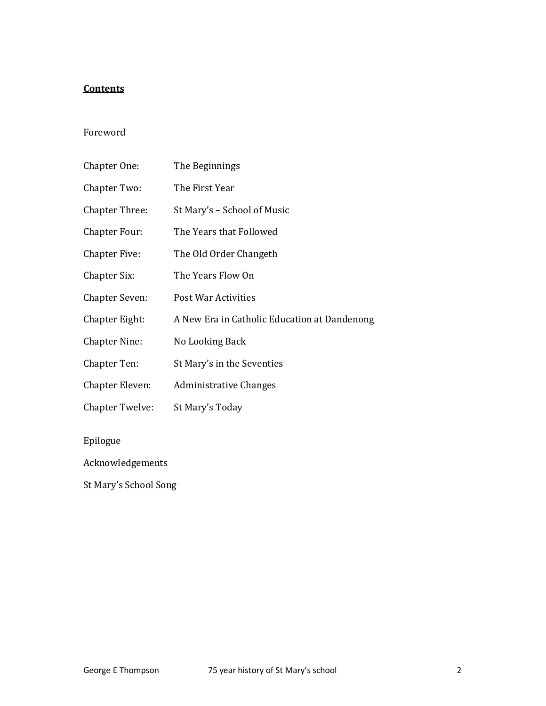#### **Contents**

#### Foreword

| Chapter One:          | The Beginnings                               |
|-----------------------|----------------------------------------------|
| Chapter Two:          | The First Year                               |
| <b>Chapter Three:</b> | St Mary's - School of Music                  |
| <b>Chapter Four:</b>  | The Years that Followed                      |
| <b>Chapter Five:</b>  | The Old Order Changeth                       |
| Chapter Six:          | The Years Flow On                            |
| <b>Chapter Seven:</b> | Post War Activities                          |
| Chapter Eight:        | A New Era in Catholic Education at Dandenong |
| <b>Chapter Nine:</b>  | No Looking Back                              |
| Chapter Ten:          | St Mary's in the Seventies                   |
| Chapter Eleven:       | <b>Administrative Changes</b>                |
| Chapter Twelve:       | St Mary's Today                              |
| Epilogue              |                                              |
| Acknowledgements      |                                              |

St Mary's School Song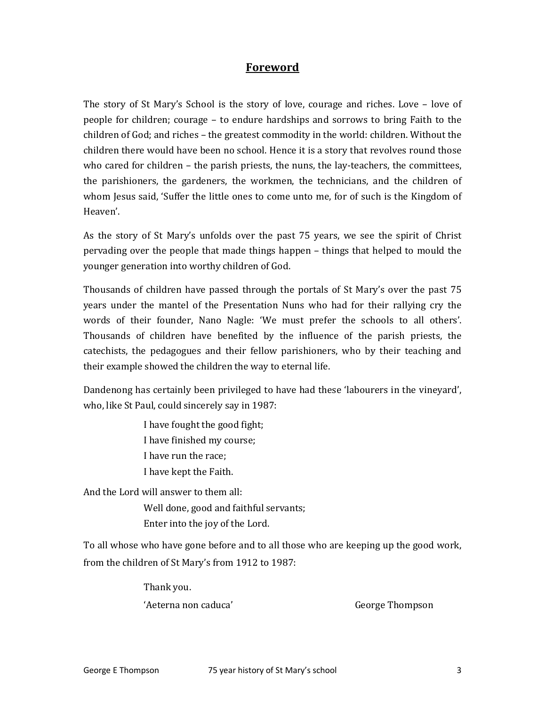#### Foreword

The story of St Mary's School is the story of love, courage and riches. Love – love of people for children; courage – to endure hardships and sorrows to bring Faith to the children of God; and riches – the greatest commodity in the world: children. Without the children there would have been no school. Hence it is a story that revolves round those who cared for children - the parish priests, the nuns, the lay-teachers, the committees, the parishioners, the gardeners, the workmen, the technicians, and the children of whom Jesus said, 'Suffer the little ones to come unto me, for of such is the Kingdom of Heaven'.

As the story of St Mary's unfolds over the past 75 years, we see the spirit of Christ pervading over the people that made things happen – things that helped to mould the younger generation into worthy children of God.

Thousands of children have passed through the portals of St Mary's over the past 75 years under the mantel of the Presentation Nuns who had for their rallying cry the words of their founder, Nano Nagle: 'We must prefer the schools to all others'. Thousands of children have benefited by the influence of the parish priests, the catechists, the pedagogues and their fellow parishioners, who by their teaching and their example showed the children the way to eternal life.

Dandenong has certainly been privileged to have had these 'labourers in the vineyard', who, like St Paul, could sincerely say in 1987:

> I have fought the good fight; I have finished my course; I have run the race; I have kept the Faith.

And the Lord will answer to them all:

 Well done, good and faithful servants; Enter into the joy of the Lord.

To all whose who have gone before and to all those who are keeping up the good work, from the children of St Mary's from 1912 to 1987:

Thank you.

'Aeterna non caduca' George Thompson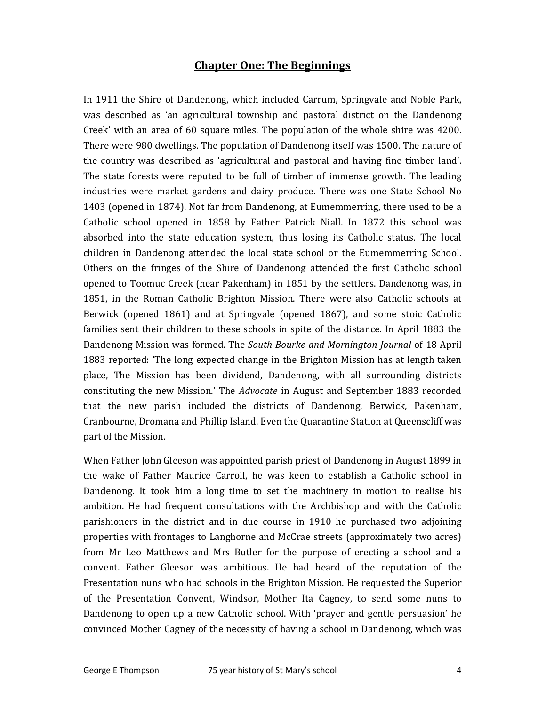#### Chapter One: The Beginnings

In 1911 the Shire of Dandenong, which included Carrum, Springvale and Noble Park, was described as 'an agricultural township and pastoral district on the Dandenong Creek' with an area of 60 square miles. The population of the whole shire was 4200. There were 980 dwellings. The population of Dandenong itself was 1500. The nature of the country was described as 'agricultural and pastoral and having fine timber land'. The state forests were reputed to be full of timber of immense growth. The leading industries were market gardens and dairy produce. There was one State School No 1403 (opened in 1874). Not far from Dandenong, at Eumemmerring, there used to be a Catholic school opened in 1858 by Father Patrick Niall. In 1872 this school was absorbed into the state education system, thus losing its Catholic status. The local children in Dandenong attended the local state school or the Eumemmerring School. Others on the fringes of the Shire of Dandenong attended the first Catholic school opened to Toomuc Creek (near Pakenham) in 1851 by the settlers. Dandenong was, in 1851, in the Roman Catholic Brighton Mission. There were also Catholic schools at Berwick (opened 1861) and at Springvale (opened 1867), and some stoic Catholic families sent their children to these schools in spite of the distance. In April 1883 the Dandenong Mission was formed. The South Bourke and Mornington Journal of 18 April 1883 reported: 'The long expected change in the Brighton Mission has at length taken place, The Mission has been dividend, Dandenong, with all surrounding districts constituting the new Mission.' The Advocate in August and September 1883 recorded that the new parish included the districts of Dandenong, Berwick, Pakenham, Cranbourne, Dromana and Phillip Island. Even the Quarantine Station at Queenscliff was part of the Mission.

When Father John Gleeson was appointed parish priest of Dandenong in August 1899 in the wake of Father Maurice Carroll, he was keen to establish a Catholic school in Dandenong. It took him a long time to set the machinery in motion to realise his ambition. He had frequent consultations with the Archbishop and with the Catholic parishioners in the district and in due course in 1910 he purchased two adjoining properties with frontages to Langhorne and McCrae streets (approximately two acres) from Mr Leo Matthews and Mrs Butler for the purpose of erecting a school and a convent. Father Gleeson was ambitious. He had heard of the reputation of the Presentation nuns who had schools in the Brighton Mission. He requested the Superior of the Presentation Convent, Windsor, Mother Ita Cagney, to send some nuns to Dandenong to open up a new Catholic school. With 'prayer and gentle persuasion' he convinced Mother Cagney of the necessity of having a school in Dandenong, which was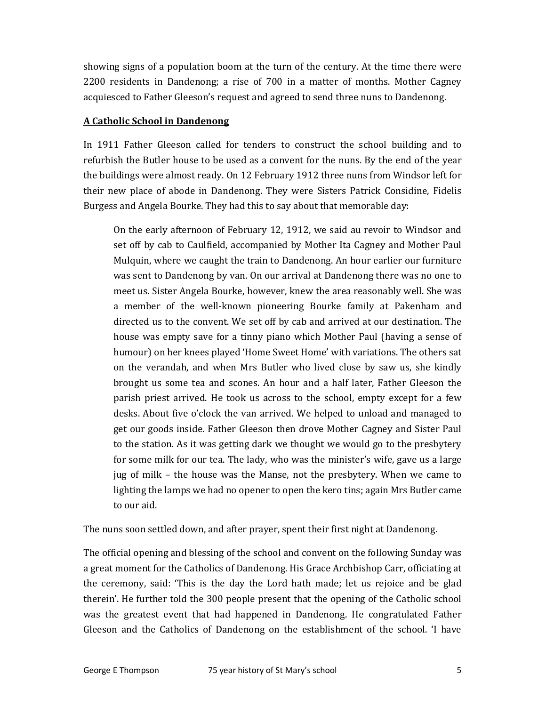showing signs of a population boom at the turn of the century. At the time there were 2200 residents in Dandenong; a rise of 700 in a matter of months. Mother Cagney acquiesced to Father Gleeson's request and agreed to send three nuns to Dandenong.

#### A Catholic School in Dandenong

In 1911 Father Gleeson called for tenders to construct the school building and to refurbish the Butler house to be used as a convent for the nuns. By the end of the year the buildings were almost ready. On 12 February 1912 three nuns from Windsor left for their new place of abode in Dandenong. They were Sisters Patrick Considine, Fidelis Burgess and Angela Bourke. They had this to say about that memorable day:

On the early afternoon of February 12, 1912, we said au revoir to Windsor and set off by cab to Caulfield, accompanied by Mother Ita Cagney and Mother Paul Mulquin, where we caught the train to Dandenong. An hour earlier our furniture was sent to Dandenong by van. On our arrival at Dandenong there was no one to meet us. Sister Angela Bourke, however, knew the area reasonably well. She was a member of the well-known pioneering Bourke family at Pakenham and directed us to the convent. We set off by cab and arrived at our destination. The house was empty save for a tinny piano which Mother Paul (having a sense of humour) on her knees played 'Home Sweet Home' with variations. The others sat on the verandah, and when Mrs Butler who lived close by saw us, she kindly brought us some tea and scones. An hour and a half later, Father Gleeson the parish priest arrived. He took us across to the school, empty except for a few desks. About five o'clock the van arrived. We helped to unload and managed to get our goods inside. Father Gleeson then drove Mother Cagney and Sister Paul to the station. As it was getting dark we thought we would go to the presbytery for some milk for our tea. The lady, who was the minister's wife, gave us a large jug of milk – the house was the Manse, not the presbytery. When we came to lighting the lamps we had no opener to open the kero tins; again Mrs Butler came to our aid.

The nuns soon settled down, and after prayer, spent their first night at Dandenong.

The official opening and blessing of the school and convent on the following Sunday was a great moment for the Catholics of Dandenong. His Grace Archbishop Carr, officiating at the ceremony, said: 'This is the day the Lord hath made; let us rejoice and be glad therein'. He further told the 300 people present that the opening of the Catholic school was the greatest event that had happened in Dandenong. He congratulated Father Gleeson and the Catholics of Dandenong on the establishment of the school. 'I have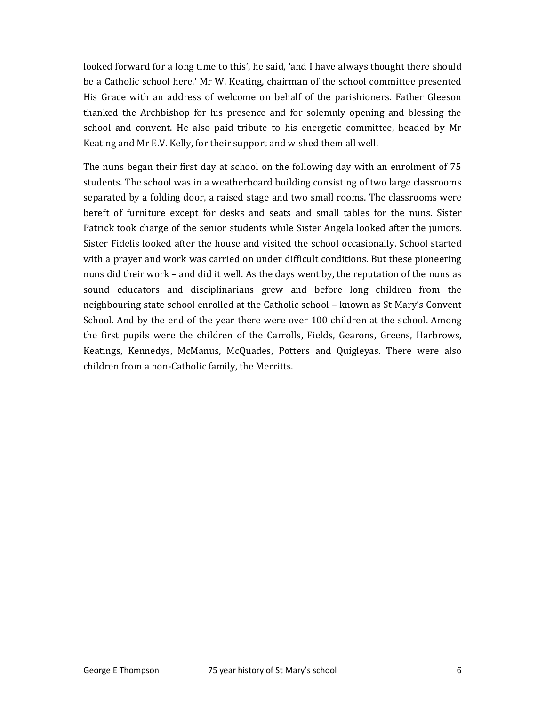looked forward for a long time to this', he said, 'and I have always thought there should be a Catholic school here.' Mr W. Keating, chairman of the school committee presented His Grace with an address of welcome on behalf of the parishioners. Father Gleeson thanked the Archbishop for his presence and for solemnly opening and blessing the school and convent. He also paid tribute to his energetic committee, headed by Mr Keating and Mr E.V. Kelly, for their support and wished them all well.

The nuns began their first day at school on the following day with an enrolment of 75 students. The school was in a weatherboard building consisting of two large classrooms separated by a folding door, a raised stage and two small rooms. The classrooms were bereft of furniture except for desks and seats and small tables for the nuns. Sister Patrick took charge of the senior students while Sister Angela looked after the juniors. Sister Fidelis looked after the house and visited the school occasionally. School started with a prayer and work was carried on under difficult conditions. But these pioneering nuns did their work – and did it well. As the days went by, the reputation of the nuns as sound educators and disciplinarians grew and before long children from the neighbouring state school enrolled at the Catholic school – known as St Mary's Convent School. And by the end of the year there were over 100 children at the school. Among the first pupils were the children of the Carrolls, Fields, Gearons, Greens, Harbrows, Keatings, Kennedys, McManus, McQuades, Potters and Quigleyas. There were also children from a non-Catholic family, the Merritts.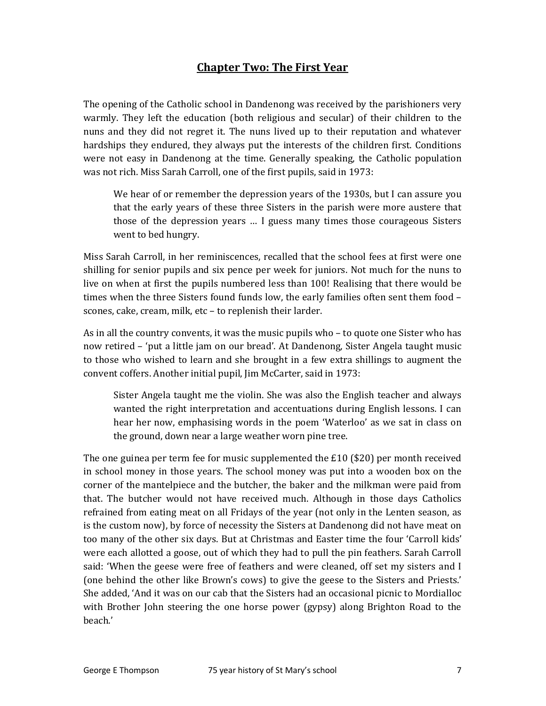# Chapter Two: The First Year

The opening of the Catholic school in Dandenong was received by the parishioners very warmly. They left the education (both religious and secular) of their children to the nuns and they did not regret it. The nuns lived up to their reputation and whatever hardships they endured, they always put the interests of the children first. Conditions were not easy in Dandenong at the time. Generally speaking, the Catholic population was not rich. Miss Sarah Carroll, one of the first pupils, said in 1973:

We hear of or remember the depression years of the 1930s, but I can assure you that the early years of these three Sisters in the parish were more austere that those of the depression years … I guess many times those courageous Sisters went to bed hungry.

Miss Sarah Carroll, in her reminiscences, recalled that the school fees at first were one shilling for senior pupils and six pence per week for juniors. Not much for the nuns to live on when at first the pupils numbered less than 100! Realising that there would be times when the three Sisters found funds low, the early families often sent them food – scones, cake, cream, milk, etc – to replenish their larder.

As in all the country convents, it was the music pupils who – to quote one Sister who has now retired – 'put a little jam on our bread'. At Dandenong, Sister Angela taught music to those who wished to learn and she brought in a few extra shillings to augment the convent coffers. Another initial pupil, Jim McCarter, said in 1973:

Sister Angela taught me the violin. She was also the English teacher and always wanted the right interpretation and accentuations during English lessons. I can hear her now, emphasising words in the poem 'Waterloo' as we sat in class on the ground, down near a large weather worn pine tree.

The one guinea per term fee for music supplemented the £10 (\$20) per month received in school money in those years. The school money was put into a wooden box on the corner of the mantelpiece and the butcher, the baker and the milkman were paid from that. The butcher would not have received much. Although in those days Catholics refrained from eating meat on all Fridays of the year (not only in the Lenten season, as is the custom now), by force of necessity the Sisters at Dandenong did not have meat on too many of the other six days. But at Christmas and Easter time the four 'Carroll kids' were each allotted a goose, out of which they had to pull the pin feathers. Sarah Carroll said: 'When the geese were free of feathers and were cleaned, off set my sisters and I (one behind the other like Brown's cows) to give the geese to the Sisters and Priests.' She added, 'And it was on our cab that the Sisters had an occasional picnic to Mordialloc with Brother John steering the one horse power (gypsy) along Brighton Road to the beach.'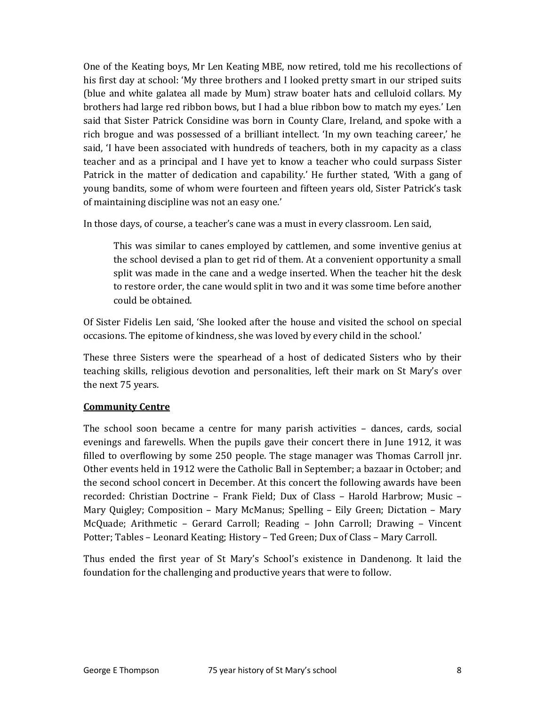One of the Keating boys, Mr Len Keating MBE, now retired, told me his recollections of his first day at school: 'My three brothers and I looked pretty smart in our striped suits (blue and white galatea all made by Mum) straw boater hats and celluloid collars. My brothers had large red ribbon bows, but I had a blue ribbon bow to match my eyes.' Len said that Sister Patrick Considine was born in County Clare, Ireland, and spoke with a rich brogue and was possessed of a brilliant intellect. 'In my own teaching career,' he said, 'I have been associated with hundreds of teachers, both in my capacity as a class teacher and as a principal and I have yet to know a teacher who could surpass Sister Patrick in the matter of dedication and capability.' He further stated, 'With a gang of young bandits, some of whom were fourteen and fifteen years old, Sister Patrick's task of maintaining discipline was not an easy one.'

In those days, of course, a teacher's cane was a must in every classroom. Len said,

This was similar to canes employed by cattlemen, and some inventive genius at the school devised a plan to get rid of them. At a convenient opportunity a small split was made in the cane and a wedge inserted. When the teacher hit the desk to restore order, the cane would split in two and it was some time before another could be obtained.

Of Sister Fidelis Len said, 'She looked after the house and visited the school on special occasions. The epitome of kindness, she was loved by every child in the school.'

These three Sisters were the spearhead of a host of dedicated Sisters who by their teaching skills, religious devotion and personalities, left their mark on St Mary's over the next 75 years.

#### Community Centre

The school soon became a centre for many parish activities – dances, cards, social evenings and farewells. When the pupils gave their concert there in June 1912, it was filled to overflowing by some 250 people. The stage manager was Thomas Carroll jnr. Other events held in 1912 were the Catholic Ball in September; a bazaar in October; and the second school concert in December. At this concert the following awards have been recorded: Christian Doctrine – Frank Field; Dux of Class – Harold Harbrow; Music – Mary Quigley; Composition – Mary McManus; Spelling – Eily Green; Dictation – Mary McQuade; Arithmetic – Gerard Carroll; Reading – John Carroll; Drawing – Vincent Potter; Tables – Leonard Keating; History – Ted Green; Dux of Class – Mary Carroll.

Thus ended the first year of St Mary's School's existence in Dandenong. It laid the foundation for the challenging and productive years that were to follow.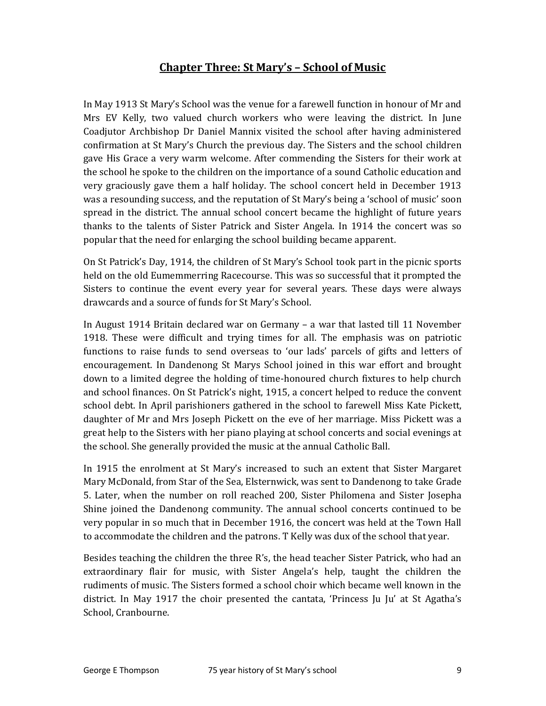# Chapter Three: St Mary's – School of Music

In May 1913 St Mary's School was the venue for a farewell function in honour of Mr and Mrs EV Kelly, two valued church workers who were leaving the district. In June Coadjutor Archbishop Dr Daniel Mannix visited the school after having administered confirmation at St Mary's Church the previous day. The Sisters and the school children gave His Grace a very warm welcome. After commending the Sisters for their work at the school he spoke to the children on the importance of a sound Catholic education and very graciously gave them a half holiday. The school concert held in December 1913 was a resounding success, and the reputation of St Mary's being a 'school of music' soon spread in the district. The annual school concert became the highlight of future years thanks to the talents of Sister Patrick and Sister Angela. In 1914 the concert was so popular that the need for enlarging the school building became apparent.

On St Patrick's Day, 1914, the children of St Mary's School took part in the picnic sports held on the old Eumemmerring Racecourse. This was so successful that it prompted the Sisters to continue the event every year for several years. These days were always drawcards and a source of funds for St Mary's School.

In August 1914 Britain declared war on Germany – a war that lasted till 11 November 1918. These were difficult and trying times for all. The emphasis was on patriotic functions to raise funds to send overseas to 'our lads' parcels of gifts and letters of encouragement. In Dandenong St Marys School joined in this war effort and brought down to a limited degree the holding of time-honoured church fixtures to help church and school finances. On St Patrick's night, 1915, a concert helped to reduce the convent school debt. In April parishioners gathered in the school to farewell Miss Kate Pickett, daughter of Mr and Mrs Joseph Pickett on the eve of her marriage. Miss Pickett was a great help to the Sisters with her piano playing at school concerts and social evenings at the school. She generally provided the music at the annual Catholic Ball.

In 1915 the enrolment at St Mary's increased to such an extent that Sister Margaret Mary McDonald, from Star of the Sea, Elsternwick, was sent to Dandenong to take Grade 5. Later, when the number on roll reached 200, Sister Philomena and Sister Josepha Shine joined the Dandenong community. The annual school concerts continued to be very popular in so much that in December 1916, the concert was held at the Town Hall to accommodate the children and the patrons. T Kelly was dux of the school that year.

Besides teaching the children the three R's, the head teacher Sister Patrick, who had an extraordinary flair for music, with Sister Angela's help, taught the children the rudiments of music. The Sisters formed a school choir which became well known in the district. In May 1917 the choir presented the cantata, 'Princess Ju Ju' at St Agatha's School, Cranbourne.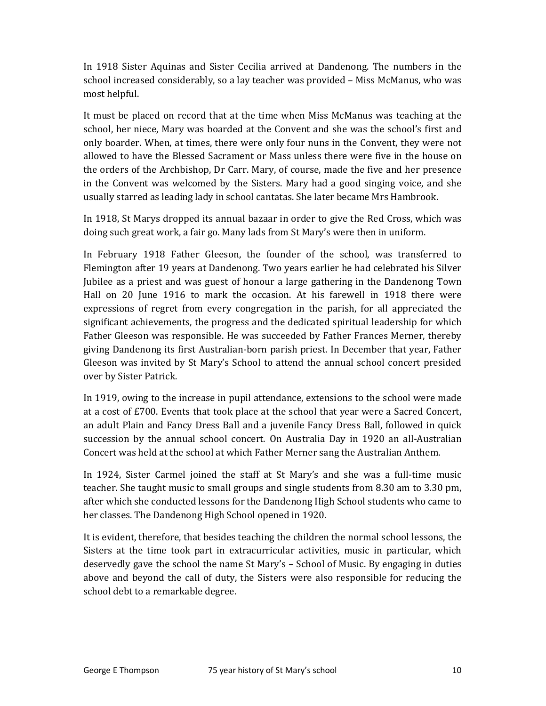In 1918 Sister Aquinas and Sister Cecilia arrived at Dandenong. The numbers in the school increased considerably, so a lay teacher was provided – Miss McManus, who was most helpful.

It must be placed on record that at the time when Miss McManus was teaching at the school, her niece, Mary was boarded at the Convent and she was the school's first and only boarder. When, at times, there were only four nuns in the Convent, they were not allowed to have the Blessed Sacrament or Mass unless there were five in the house on the orders of the Archbishop, Dr Carr. Mary, of course, made the five and her presence in the Convent was welcomed by the Sisters. Mary had a good singing voice, and she usually starred as leading lady in school cantatas. She later became Mrs Hambrook.

In 1918, St Marys dropped its annual bazaar in order to give the Red Cross, which was doing such great work, a fair go. Many lads from St Mary's were then in uniform.

In February 1918 Father Gleeson, the founder of the school, was transferred to Flemington after 19 years at Dandenong. Two years earlier he had celebrated his Silver Jubilee as a priest and was guest of honour a large gathering in the Dandenong Town Hall on 20 June 1916 to mark the occasion. At his farewell in 1918 there were expressions of regret from every congregation in the parish, for all appreciated the significant achievements, the progress and the dedicated spiritual leadership for which Father Gleeson was responsible. He was succeeded by Father Frances Merner, thereby giving Dandenong its first Australian-born parish priest. In December that year, Father Gleeson was invited by St Mary's School to attend the annual school concert presided over by Sister Patrick.

In 1919, owing to the increase in pupil attendance, extensions to the school were made at a cost of £700. Events that took place at the school that year were a Sacred Concert, an adult Plain and Fancy Dress Ball and a juvenile Fancy Dress Ball, followed in quick succession by the annual school concert. On Australia Day in 1920 an all-Australian Concert was held at the school at which Father Merner sang the Australian Anthem.

In 1924, Sister Carmel joined the staff at St Mary's and she was a full-time music teacher. She taught music to small groups and single students from 8.30 am to 3.30 pm, after which she conducted lessons for the Dandenong High School students who came to her classes. The Dandenong High School opened in 1920.

It is evident, therefore, that besides teaching the children the normal school lessons, the Sisters at the time took part in extracurricular activities, music in particular, which deservedly gave the school the name St Mary's – School of Music. By engaging in duties above and beyond the call of duty, the Sisters were also responsible for reducing the school debt to a remarkable degree.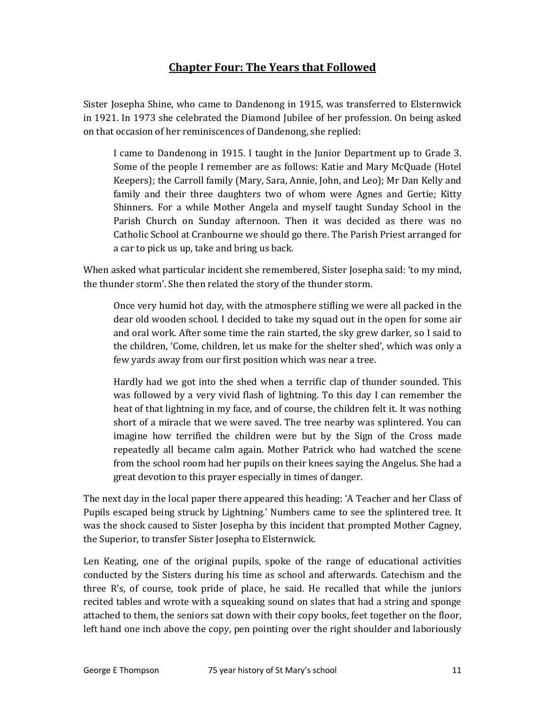# Chapter Four: The Years that Followed

Sister Josepha Shine, who came to Dandenong in 1915, was transferred to Elsternwick in 1921. In 1973 she celebrated the Diamond Jubilee of her profession. On being asked on that occasion of her reminiscences of Dandenong, she replied:

I came to Dandenong in 1915. I taught in the Junior Department up to Grade 3. Some of the people I remember are as follows: Katie and Mary McQuade (Hotel Keepers); the Carroll family (Mary, Sara, Annie, John, and Leo); Mr Dan Kelly and family and their three daughters two of whom were Agnes and Gertie; Kitty Shinners. For a while Mother Angela and myself taught Sunday School in the Parish Church on Sunday afternoon. Then it was decided as there was no Catholic School at Cranbourne we should go there. The Parish Priest arranged for a car to pick us up, take and bring us back.

When asked what particular incident she remembered, Sister Josepha said: 'to my mind, the thunder storm'. She then related the story of the thunder storm.

Once very humid hot day, with the atmosphere stifling we were all packed in the dear old wooden school. I decided to take my squad out in the open for some air and oral work. After some time the rain started, the sky grew darker, so I said to the children, 'Come, children, let us make for the shelter shed', which was only a few yards away from our first position which was near a tree.

Hardly had we got into the shed when a terrific clap of thunder sounded. This was followed by a very vivid flash of lightning. To this day I can remember the heat of that lightning in my face, and of course, the children felt it. It was nothing short of a miracle that we were saved. The tree nearby was splintered. You can imagine how terrified the children were but by the Sign of the Cross made repeatedly all became calm again. Mother Patrick who had watched the scene from the school room had her pupils on their knees saying the Angelus. She had a great devotion to this prayer especially in times of danger.

The next day in the local paper there appeared this heading: 'A Teacher and her Class of Pupils escaped being struck by Lightning.' Numbers came to see the splintered tree. It was the shock caused to Sister Josepha by this incident that prompted Mother Cagney, the Superior, to transfer Sister Josepha to Elsternwick.

Len Keating, one of the original pupils, spoke of the range of educational activities conducted by the Sisters during his time as school and afterwards. Catechism and the three R's, of course, took pride of place, he said. He recalled that while the juniors recited tables and wrote with a squeaking sound on slates that had a string and sponge attached to them, the seniors sat down with their copy books, feet together on the floor, left hand one inch above the copy, pen pointing over the right shoulder and laboriously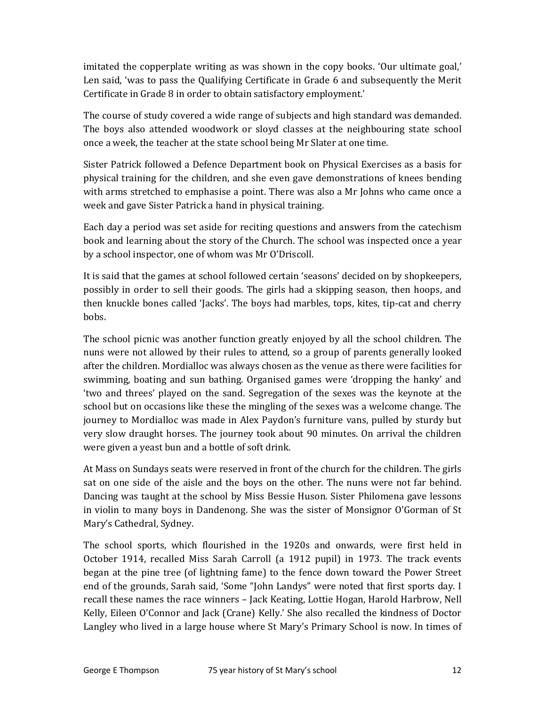imitated the copperplate writing as was shown in the copy books. 'Our ultimate goal,' Len said, 'was to pass the Qualifying Certificate in Grade 6 and subsequently the Merit Certificate in Grade 8 in order to obtain satisfactory employment.'

The course of study covered a wide range of subjects and high standard was demanded. The boys also attended woodwork or sloyd classes at the neighbouring state school once a week, the teacher at the state school being Mr Slater at one time.

Sister Patrick followed a Defence Department book on Physical Exercises as a basis for physical training for the children, and she even gave demonstrations of knees bending with arms stretched to emphasise a point. There was also a Mr Johns who came once a week and gave Sister Patrick a hand in physical training.

Each day a period was set aside for reciting questions and answers from the catechism book and learning about the story of the Church. The school was inspected once a year by a school inspector, one of whom was Mr O'Driscoll.

It is said that the games at school followed certain 'seasons' decided on by shopkeepers, possibly in order to sell their goods. The girls had a skipping season, then hoops, and then knuckle bones called 'Jacks'. The boys had marbles, tops, kites, tip-cat and cherry bobs.

The school picnic was another function greatly enjoyed by all the school children. The nuns were not allowed by their rules to attend, so a group of parents generally looked after the children. Mordialloc was always chosen as the venue as there were facilities for swimming, boating and sun bathing. Organised games were 'dropping the hanky' and 'two and threes' played on the sand. Segregation of the sexes was the keynote at the school but on occasions like these the mingling of the sexes was a welcome change. The journey to Mordialloc was made in Alex Paydon's furniture vans, pulled by sturdy but very slow draught horses. The journey took about 90 minutes. On arrival the children were given a yeast bun and a bottle of soft drink.

At Mass on Sundays seats were reserved in front of the church for the children. The girls sat on one side of the aisle and the boys on the other. The nuns were not far behind. Dancing was taught at the school by Miss Bessie Huson. Sister Philomena gave lessons in violin to many boys in Dandenong. She was the sister of Monsignor O'Gorman of St Mary's Cathedral, Sydney.

The school sports, which flourished in the 1920s and onwards, were first held in October 1914, recalled Miss Sarah Carroll (a 1912 pupil) in 1973. The track events began at the pine tree (of lightning fame) to the fence down toward the Power Street end of the grounds, Sarah said, 'Some "John Landys" were noted that first sports day. I recall these names the race winners – Jack Keating, Lottie Hogan, Harold Harbrow, Nell Kelly, Eileen O'Connor and Jack (Crane) Kelly.' She also recalled the kindness of Doctor Langley who lived in a large house where St Mary's Primary School is now. In times of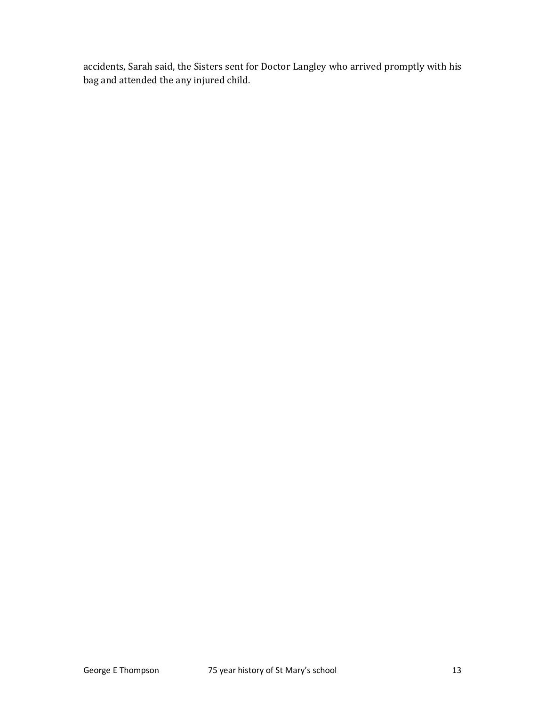accidents, Sarah said, the Sisters sent for Doctor Langley who arrived promptly with his bag and attended the any injured child.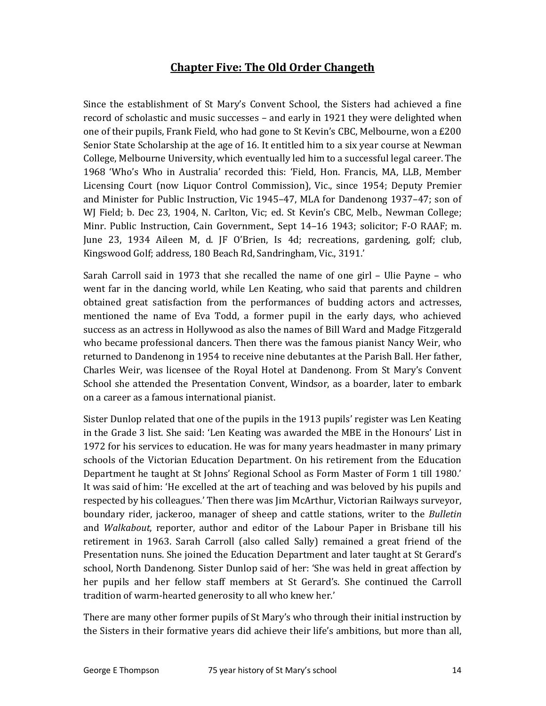### Chapter Five: The Old Order Changeth

Since the establishment of St Mary's Convent School, the Sisters had achieved a fine record of scholastic and music successes – and early in 1921 they were delighted when one of their pupils, Frank Field, who had gone to St Kevin's CBC, Melbourne, won a £200 Senior State Scholarship at the age of 16. It entitled him to a six year course at Newman College, Melbourne University, which eventually led him to a successful legal career. The 1968 'Who's Who in Australia' recorded this: 'Field, Hon. Francis, MA, LLB, Member Licensing Court (now Liquor Control Commission), Vic., since 1954; Deputy Premier and Minister for Public Instruction, Vic 1945–47, MLA for Dandenong 1937–47; son of WJ Field; b. Dec 23, 1904, N. Carlton, Vic; ed. St Kevin's CBC, Melb., Newman College; Minr. Public Instruction, Cain Government., Sept 14–16 1943; solicitor; F-O RAAF; m. June 23, 1934 Aileen M, d. JF O'Brien, Is 4d; recreations, gardening, golf; club, Kingswood Golf; address, 180 Beach Rd, Sandringham, Vic., 3191.'

Sarah Carroll said in 1973 that she recalled the name of one girl – Ulie Payne – who went far in the dancing world, while Len Keating, who said that parents and children obtained great satisfaction from the performances of budding actors and actresses, mentioned the name of Eva Todd, a former pupil in the early days, who achieved success as an actress in Hollywood as also the names of Bill Ward and Madge Fitzgerald who became professional dancers. Then there was the famous pianist Nancy Weir, who returned to Dandenong in 1954 to receive nine debutantes at the Parish Ball. Her father, Charles Weir, was licensee of the Royal Hotel at Dandenong. From St Mary's Convent School she attended the Presentation Convent, Windsor, as a boarder, later to embark on a career as a famous international pianist.

Sister Dunlop related that one of the pupils in the 1913 pupils' register was Len Keating in the Grade 3 list. She said: 'Len Keating was awarded the MBE in the Honours' List in 1972 for his services to education. He was for many years headmaster in many primary schools of the Victorian Education Department. On his retirement from the Education Department he taught at St Johns' Regional School as Form Master of Form 1 till 1980.' It was said of him: 'He excelled at the art of teaching and was beloved by his pupils and respected by his colleagues.' Then there was Jim McArthur, Victorian Railways surveyor, boundary rider, jackeroo, manager of sheep and cattle stations, writer to the Bulletin and Walkabout, reporter, author and editor of the Labour Paper in Brisbane till his retirement in 1963. Sarah Carroll (also called Sally) remained a great friend of the Presentation nuns. She joined the Education Department and later taught at St Gerard's school, North Dandenong. Sister Dunlop said of her: 'She was held in great affection by her pupils and her fellow staff members at St Gerard's. She continued the Carroll tradition of warm-hearted generosity to all who knew her.'

There are many other former pupils of St Mary's who through their initial instruction by the Sisters in their formative years did achieve their life's ambitions, but more than all,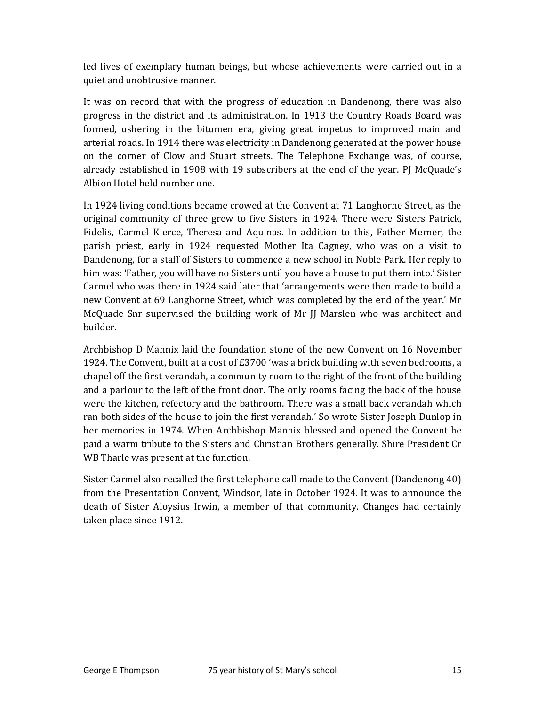led lives of exemplary human beings, but whose achievements were carried out in a quiet and unobtrusive manner.

It was on record that with the progress of education in Dandenong, there was also progress in the district and its administration. In 1913 the Country Roads Board was formed, ushering in the bitumen era, giving great impetus to improved main and arterial roads. In 1914 there was electricity in Dandenong generated at the power house on the corner of Clow and Stuart streets. The Telephone Exchange was, of course, already established in 1908 with 19 subscribers at the end of the year. PJ McQuade's Albion Hotel held number one.

In 1924 living conditions became crowed at the Convent at 71 Langhorne Street, as the original community of three grew to five Sisters in 1924. There were Sisters Patrick, Fidelis, Carmel Kierce, Theresa and Aquinas. In addition to this, Father Merner, the parish priest, early in 1924 requested Mother Ita Cagney, who was on a visit to Dandenong, for a staff of Sisters to commence a new school in Noble Park. Her reply to him was: 'Father, you will have no Sisters until you have a house to put them into.' Sister Carmel who was there in 1924 said later that 'arrangements were then made to build a new Convent at 69 Langhorne Street, which was completed by the end of the year.' Mr McQuade Snr supervised the building work of Mr JJ Marslen who was architect and builder.

Archbishop D Mannix laid the foundation stone of the new Convent on 16 November 1924. The Convent, built at a cost of £3700 'was a brick building with seven bedrooms, a chapel off the first verandah, a community room to the right of the front of the building and a parlour to the left of the front door. The only rooms facing the back of the house were the kitchen, refectory and the bathroom. There was a small back verandah which ran both sides of the house to join the first verandah.' So wrote Sister Joseph Dunlop in her memories in 1974. When Archbishop Mannix blessed and opened the Convent he paid a warm tribute to the Sisters and Christian Brothers generally. Shire President Cr WB Tharle was present at the function.

Sister Carmel also recalled the first telephone call made to the Convent (Dandenong 40) from the Presentation Convent, Windsor, late in October 1924. It was to announce the death of Sister Aloysius Irwin, a member of that community. Changes had certainly taken place since 1912.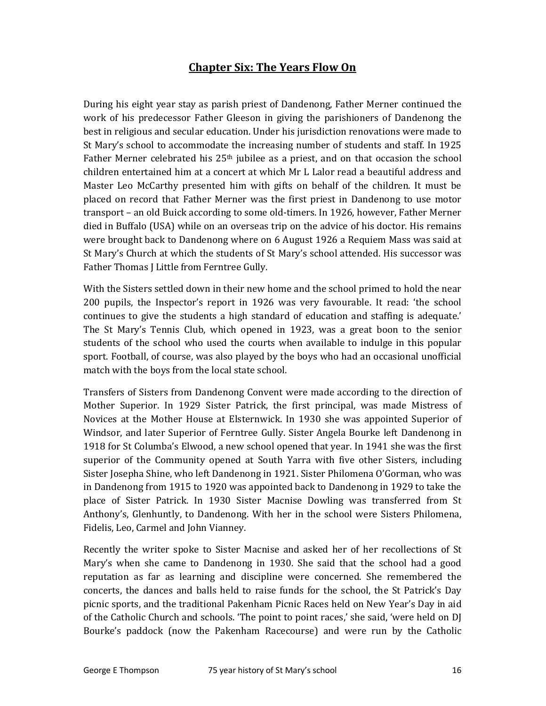# Chapter Six: The Years Flow On

During his eight year stay as parish priest of Dandenong, Father Merner continued the work of his predecessor Father Gleeson in giving the parishioners of Dandenong the best in religious and secular education. Under his jurisdiction renovations were made to St Mary's school to accommodate the increasing number of students and staff. In 1925 Father Merner celebrated his  $25<sup>th</sup>$  jubilee as a priest, and on that occasion the school children entertained him at a concert at which Mr L Lalor read a beautiful address and Master Leo McCarthy presented him with gifts on behalf of the children. It must be placed on record that Father Merner was the first priest in Dandenong to use motor transport – an old Buick according to some old-timers. In 1926, however, Father Merner died in Buffalo (USA) while on an overseas trip on the advice of his doctor. His remains were brought back to Dandenong where on 6 August 1926 a Requiem Mass was said at St Mary's Church at which the students of St Mary's school attended. His successor was Father Thomas J Little from Ferntree Gully.

With the Sisters settled down in their new home and the school primed to hold the near 200 pupils, the Inspector's report in 1926 was very favourable. It read: 'the school continues to give the students a high standard of education and staffing is adequate.' The St Mary's Tennis Club, which opened in 1923, was a great boon to the senior students of the school who used the courts when available to indulge in this popular sport. Football, of course, was also played by the boys who had an occasional unofficial match with the boys from the local state school.

Transfers of Sisters from Dandenong Convent were made according to the direction of Mother Superior. In 1929 Sister Patrick, the first principal, was made Mistress of Novices at the Mother House at Elsternwick. In 1930 she was appointed Superior of Windsor, and later Superior of Ferntree Gully. Sister Angela Bourke left Dandenong in 1918 for St Columba's Elwood, a new school opened that year. In 1941 she was the first superior of the Community opened at South Yarra with five other Sisters, including Sister Josepha Shine, who left Dandenong in 1921. Sister Philomena O'Gorman, who was in Dandenong from 1915 to 1920 was appointed back to Dandenong in 1929 to take the place of Sister Patrick. In 1930 Sister Macnise Dowling was transferred from St Anthony's, Glenhuntly, to Dandenong. With her in the school were Sisters Philomena, Fidelis, Leo, Carmel and John Vianney.

Recently the writer spoke to Sister Macnise and asked her of her recollections of St Mary's when she came to Dandenong in 1930. She said that the school had a good reputation as far as learning and discipline were concerned. She remembered the concerts, the dances and balls held to raise funds for the school, the St Patrick's Day picnic sports, and the traditional Pakenham Picnic Races held on New Year's Day in aid of the Catholic Church and schools. 'The point to point races,' she said, 'were held on DJ Bourke's paddock (now the Pakenham Racecourse) and were run by the Catholic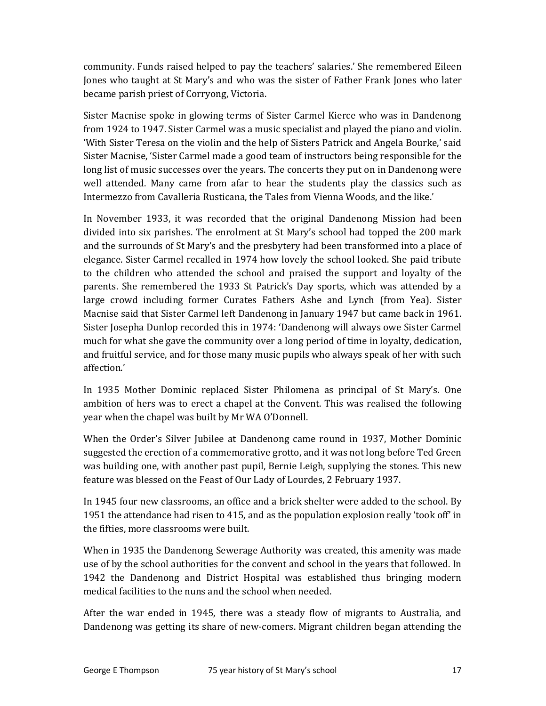community. Funds raised helped to pay the teachers' salaries.' She remembered Eileen Jones who taught at St Mary's and who was the sister of Father Frank Jones who later became parish priest of Corryong, Victoria.

Sister Macnise spoke in glowing terms of Sister Carmel Kierce who was in Dandenong from 1924 to 1947. Sister Carmel was a music specialist and played the piano and violin. 'With Sister Teresa on the violin and the help of Sisters Patrick and Angela Bourke,' said Sister Macnise, 'Sister Carmel made a good team of instructors being responsible for the long list of music successes over the years. The concerts they put on in Dandenong were well attended. Many came from afar to hear the students play the classics such as Intermezzo from Cavalleria Rusticana, the Tales from Vienna Woods, and the like.'

In November 1933, it was recorded that the original Dandenong Mission had been divided into six parishes. The enrolment at St Mary's school had topped the 200 mark and the surrounds of St Mary's and the presbytery had been transformed into a place of elegance. Sister Carmel recalled in 1974 how lovely the school looked. She paid tribute to the children who attended the school and praised the support and loyalty of the parents. She remembered the 1933 St Patrick's Day sports, which was attended by a large crowd including former Curates Fathers Ashe and Lynch (from Yea). Sister Macnise said that Sister Carmel left Dandenong in January 1947 but came back in 1961. Sister Josepha Dunlop recorded this in 1974: 'Dandenong will always owe Sister Carmel much for what she gave the community over a long period of time in loyalty, dedication, and fruitful service, and for those many music pupils who always speak of her with such affection.'

In 1935 Mother Dominic replaced Sister Philomena as principal of St Mary's. One ambition of hers was to erect a chapel at the Convent. This was realised the following year when the chapel was built by Mr WA O'Donnell.

When the Order's Silver Jubilee at Dandenong came round in 1937, Mother Dominic suggested the erection of a commemorative grotto, and it was not long before Ted Green was building one, with another past pupil, Bernie Leigh, supplying the stones. This new feature was blessed on the Feast of Our Lady of Lourdes, 2 February 1937.

In 1945 four new classrooms, an office and a brick shelter were added to the school. By 1951 the attendance had risen to 415, and as the population explosion really 'took off' in the fifties, more classrooms were built.

When in 1935 the Dandenong Sewerage Authority was created, this amenity was made use of by the school authorities for the convent and school in the years that followed. In 1942 the Dandenong and District Hospital was established thus bringing modern medical facilities to the nuns and the school when needed.

After the war ended in 1945, there was a steady flow of migrants to Australia, and Dandenong was getting its share of new-comers. Migrant children began attending the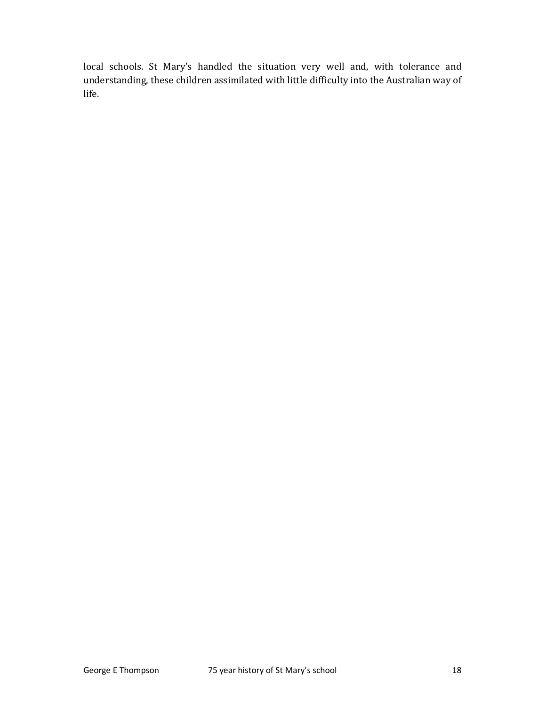local schools. St Mary's handled the situation very well and, with tolerance and understanding, these children assimilated with little difficulty into the Australian way of life.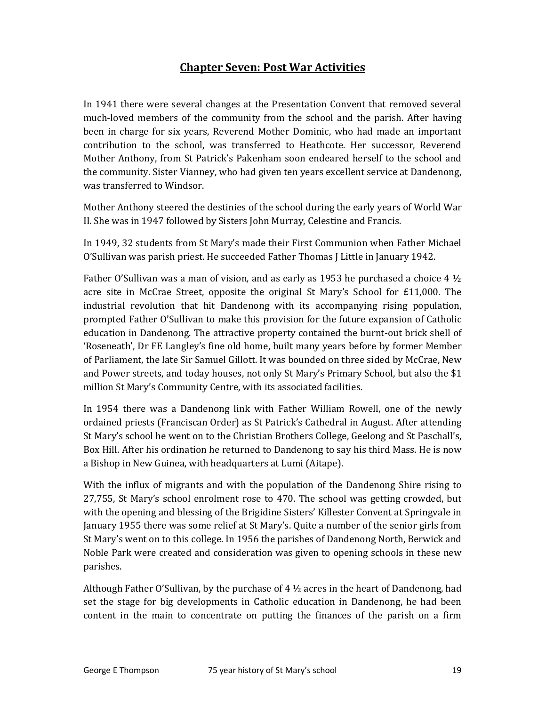### Chapter Seven: Post War Activities

In 1941 there were several changes at the Presentation Convent that removed several much-loved members of the community from the school and the parish. After having been in charge for six years, Reverend Mother Dominic, who had made an important contribution to the school, was transferred to Heathcote. Her successor, Reverend Mother Anthony, from St Patrick's Pakenham soon endeared herself to the school and the community. Sister Vianney, who had given ten years excellent service at Dandenong, was transferred to Windsor.

Mother Anthony steered the destinies of the school during the early years of World War II. She was in 1947 followed by Sisters John Murray, Celestine and Francis.

In 1949, 32 students from St Mary's made their First Communion when Father Michael O'Sullivan was parish priest. He succeeded Father Thomas J Little in January 1942.

Father O'Sullivan was a man of vision, and as early as 1953 he purchased a choice 4  $\frac{1}{2}$ acre site in McCrae Street, opposite the original St Mary's School for £11,000. The industrial revolution that hit Dandenong with its accompanying rising population, prompted Father O'Sullivan to make this provision for the future expansion of Catholic education in Dandenong. The attractive property contained the burnt-out brick shell of 'Roseneath', Dr FE Langley's fine old home, built many years before by former Member of Parliament, the late Sir Samuel Gillott. It was bounded on three sided by McCrae, New and Power streets, and today houses, not only St Mary's Primary School, but also the \$1 million St Mary's Community Centre, with its associated facilities.

In 1954 there was a Dandenong link with Father William Rowell, one of the newly ordained priests (Franciscan Order) as St Patrick's Cathedral in August. After attending St Mary's school he went on to the Christian Brothers College, Geelong and St Paschall's, Box Hill. After his ordination he returned to Dandenong to say his third Mass. He is now a Bishop in New Guinea, with headquarters at Lumi (Aitape).

With the influx of migrants and with the population of the Dandenong Shire rising to 27,755, St Mary's school enrolment rose to 470. The school was getting crowded, but with the opening and blessing of the Brigidine Sisters' Killester Convent at Springvale in January 1955 there was some relief at St Mary's. Quite a number of the senior girls from St Mary's went on to this college. In 1956 the parishes of Dandenong North, Berwick and Noble Park were created and consideration was given to opening schools in these new parishes.

Although Father O'Sullivan, by the purchase of 4 ½ acres in the heart of Dandenong, had set the stage for big developments in Catholic education in Dandenong, he had been content in the main to concentrate on putting the finances of the parish on a firm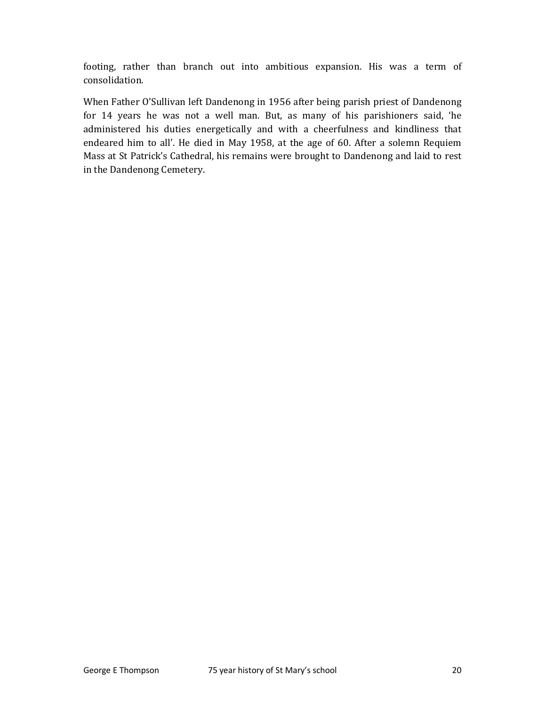footing, rather than branch out into ambitious expansion. His was a term of consolidation.

When Father O'Sullivan left Dandenong in 1956 after being parish priest of Dandenong for 14 years he was not a well man. But, as many of his parishioners said, 'he administered his duties energetically and with a cheerfulness and kindliness that endeared him to all'. He died in May 1958, at the age of 60. After a solemn Requiem Mass at St Patrick's Cathedral, his remains were brought to Dandenong and laid to rest in the Dandenong Cemetery.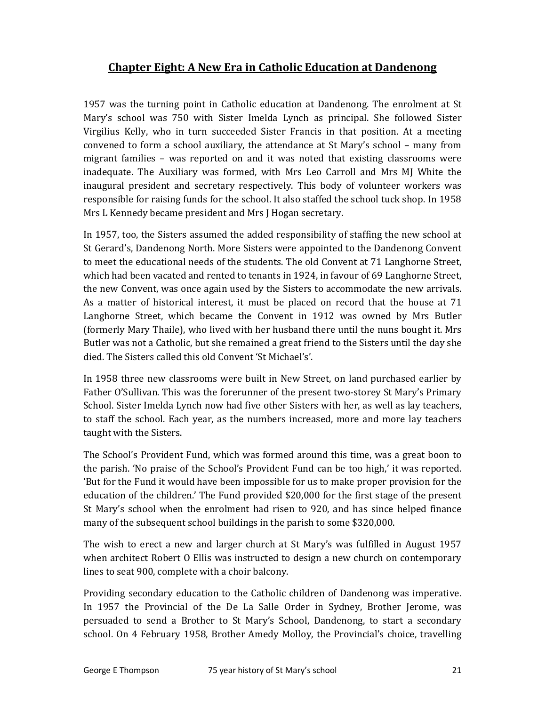# Chapter Eight: A New Era in Catholic Education at Dandenong

1957 was the turning point in Catholic education at Dandenong. The enrolment at St Mary's school was 750 with Sister Imelda Lynch as principal. She followed Sister Virgilius Kelly, who in turn succeeded Sister Francis in that position. At a meeting convened to form a school auxiliary, the attendance at St Mary's school – many from migrant families – was reported on and it was noted that existing classrooms were inadequate. The Auxiliary was formed, with Mrs Leo Carroll and Mrs MJ White the inaugural president and secretary respectively. This body of volunteer workers was responsible for raising funds for the school. It also staffed the school tuck shop. In 1958 Mrs L Kennedy became president and Mrs J Hogan secretary.

In 1957, too, the Sisters assumed the added responsibility of staffing the new school at St Gerard's, Dandenong North. More Sisters were appointed to the Dandenong Convent to meet the educational needs of the students. The old Convent at 71 Langhorne Street, which had been vacated and rented to tenants in 1924, in favour of 69 Langhorne Street, the new Convent, was once again used by the Sisters to accommodate the new arrivals. As a matter of historical interest, it must be placed on record that the house at 71 Langhorne Street, which became the Convent in 1912 was owned by Mrs Butler (formerly Mary Thaile), who lived with her husband there until the nuns bought it. Mrs Butler was not a Catholic, but she remained a great friend to the Sisters until the day she died. The Sisters called this old Convent 'St Michael's'.

In 1958 three new classrooms were built in New Street, on land purchased earlier by Father O'Sullivan. This was the forerunner of the present two-storey St Mary's Primary School. Sister Imelda Lynch now had five other Sisters with her, as well as lay teachers, to staff the school. Each year, as the numbers increased, more and more lay teachers taught with the Sisters.

The School's Provident Fund, which was formed around this time, was a great boon to the parish. 'No praise of the School's Provident Fund can be too high,' it was reported. 'But for the Fund it would have been impossible for us to make proper provision for the education of the children.' The Fund provided \$20,000 for the first stage of the present St Mary's school when the enrolment had risen to 920, and has since helped finance many of the subsequent school buildings in the parish to some \$320,000.

The wish to erect a new and larger church at St Mary's was fulfilled in August 1957 when architect Robert O Ellis was instructed to design a new church on contemporary lines to seat 900, complete with a choir balcony.

Providing secondary education to the Catholic children of Dandenong was imperative. In 1957 the Provincial of the De La Salle Order in Sydney, Brother Jerome, was persuaded to send a Brother to St Mary's School, Dandenong, to start a secondary school. On 4 February 1958, Brother Amedy Molloy, the Provincial's choice, travelling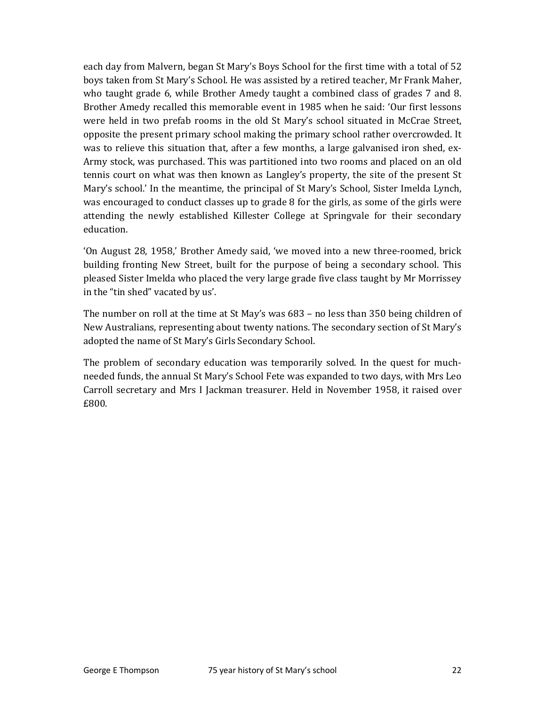each day from Malvern, began St Mary's Boys School for the first time with a total of 52 boys taken from St Mary's School. He was assisted by a retired teacher, Mr Frank Maher, who taught grade 6, while Brother Amedy taught a combined class of grades 7 and 8. Brother Amedy recalled this memorable event in 1985 when he said: 'Our first lessons were held in two prefab rooms in the old St Mary's school situated in McCrae Street, opposite the present primary school making the primary school rather overcrowded. It was to relieve this situation that, after a few months, a large galvanised iron shed, ex-Army stock, was purchased. This was partitioned into two rooms and placed on an old tennis court on what was then known as Langley's property, the site of the present St Mary's school.' In the meantime, the principal of St Mary's School, Sister Imelda Lynch, was encouraged to conduct classes up to grade 8 for the girls, as some of the girls were attending the newly established Killester College at Springvale for their secondary education.

'On August 28, 1958,' Brother Amedy said, 'we moved into a new three-roomed, brick building fronting New Street, built for the purpose of being a secondary school. This pleased Sister Imelda who placed the very large grade five class taught by Mr Morrissey in the "tin shed" vacated by us'.

The number on roll at the time at St May's was 683 – no less than 350 being children of New Australians, representing about twenty nations. The secondary section of St Mary's adopted the name of St Mary's Girls Secondary School.

The problem of secondary education was temporarily solved. In the quest for muchneeded funds, the annual St Mary's School Fete was expanded to two days, with Mrs Leo Carroll secretary and Mrs I Jackman treasurer. Held in November 1958, it raised over £800.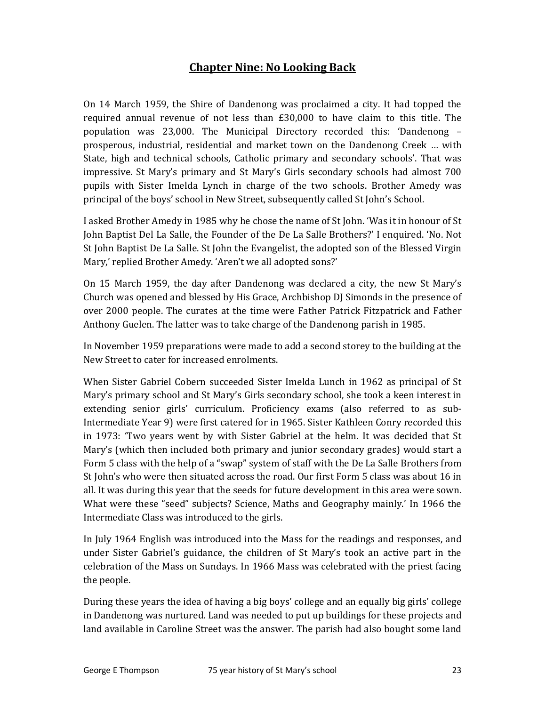# Chapter Nine: No Looking Back

On 14 March 1959, the Shire of Dandenong was proclaimed a city. It had topped the required annual revenue of not less than £30,000 to have claim to this title. The population was 23,000. The Municipal Directory recorded this: 'Dandenong – prosperous, industrial, residential and market town on the Dandenong Creek … with State, high and technical schools, Catholic primary and secondary schools'. That was impressive. St Mary's primary and St Mary's Girls secondary schools had almost 700 pupils with Sister Imelda Lynch in charge of the two schools. Brother Amedy was principal of the boys' school in New Street, subsequently called St John's School.

I asked Brother Amedy in 1985 why he chose the name of St John. 'Was it in honour of St John Baptist Del La Salle, the Founder of the De La Salle Brothers?' I enquired. 'No. Not St John Baptist De La Salle. St John the Evangelist, the adopted son of the Blessed Virgin Mary,' replied Brother Amedy. 'Aren't we all adopted sons?'

On 15 March 1959, the day after Dandenong was declared a city, the new St Mary's Church was opened and blessed by His Grace, Archbishop DJ Simonds in the presence of over 2000 people. The curates at the time were Father Patrick Fitzpatrick and Father Anthony Guelen. The latter was to take charge of the Dandenong parish in 1985.

In November 1959 preparations were made to add a second storey to the building at the New Street to cater for increased enrolments.

When Sister Gabriel Cobern succeeded Sister Imelda Lunch in 1962 as principal of St Mary's primary school and St Mary's Girls secondary school, she took a keen interest in extending senior girls' curriculum. Proficiency exams (also referred to as sub-Intermediate Year 9) were first catered for in 1965. Sister Kathleen Conry recorded this in 1973: 'Two years went by with Sister Gabriel at the helm. It was decided that St Mary's (which then included both primary and junior secondary grades) would start a Form 5 class with the help of a "swap" system of staff with the De La Salle Brothers from St John's who were then situated across the road. Our first Form 5 class was about 16 in all. It was during this year that the seeds for future development in this area were sown. What were these "seed" subjects? Science, Maths and Geography mainly.' In 1966 the Intermediate Class was introduced to the girls.

In July 1964 English was introduced into the Mass for the readings and responses, and under Sister Gabriel's guidance, the children of St Mary's took an active part in the celebration of the Mass on Sundays. In 1966 Mass was celebrated with the priest facing the people.

During these years the idea of having a big boys' college and an equally big girls' college in Dandenong was nurtured. Land was needed to put up buildings for these projects and land available in Caroline Street was the answer. The parish had also bought some land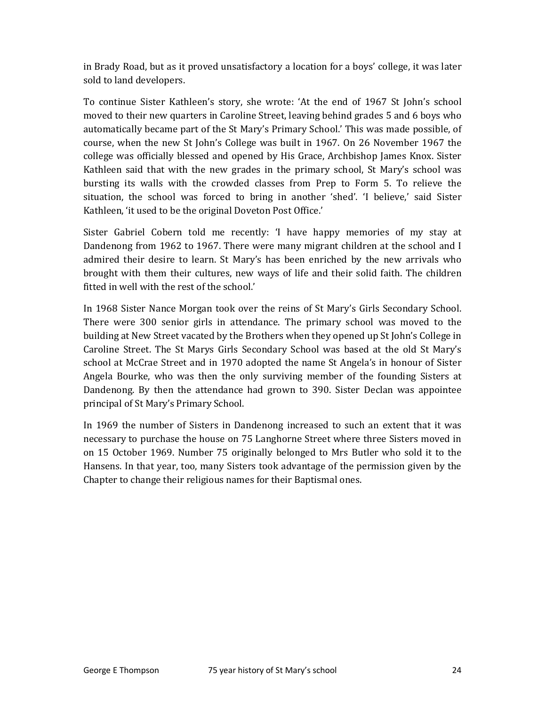in Brady Road, but as it proved unsatisfactory a location for a boys' college, it was later sold to land developers.

To continue Sister Kathleen's story, she wrote: 'At the end of 1967 St John's school moved to their new quarters in Caroline Street, leaving behind grades 5 and 6 boys who automatically became part of the St Mary's Primary School.' This was made possible, of course, when the new St John's College was built in 1967. On 26 November 1967 the college was officially blessed and opened by His Grace, Archbishop James Knox. Sister Kathleen said that with the new grades in the primary school, St Mary's school was bursting its walls with the crowded classes from Prep to Form 5. To relieve the situation, the school was forced to bring in another 'shed'. 'I believe,' said Sister Kathleen, 'it used to be the original Doveton Post Office.'

Sister Gabriel Cobern told me recently: 'I have happy memories of my stay at Dandenong from 1962 to 1967. There were many migrant children at the school and I admired their desire to learn. St Mary's has been enriched by the new arrivals who brought with them their cultures, new ways of life and their solid faith. The children fitted in well with the rest of the school.'

In 1968 Sister Nance Morgan took over the reins of St Mary's Girls Secondary School. There were 300 senior girls in attendance. The primary school was moved to the building at New Street vacated by the Brothers when they opened up St John's College in Caroline Street. The St Marys Girls Secondary School was based at the old St Mary's school at McCrae Street and in 1970 adopted the name St Angela's in honour of Sister Angela Bourke, who was then the only surviving member of the founding Sisters at Dandenong. By then the attendance had grown to 390. Sister Declan was appointee principal of St Mary's Primary School.

In 1969 the number of Sisters in Dandenong increased to such an extent that it was necessary to purchase the house on 75 Langhorne Street where three Sisters moved in on 15 October 1969. Number 75 originally belonged to Mrs Butler who sold it to the Hansens. In that year, too, many Sisters took advantage of the permission given by the Chapter to change their religious names for their Baptismal ones.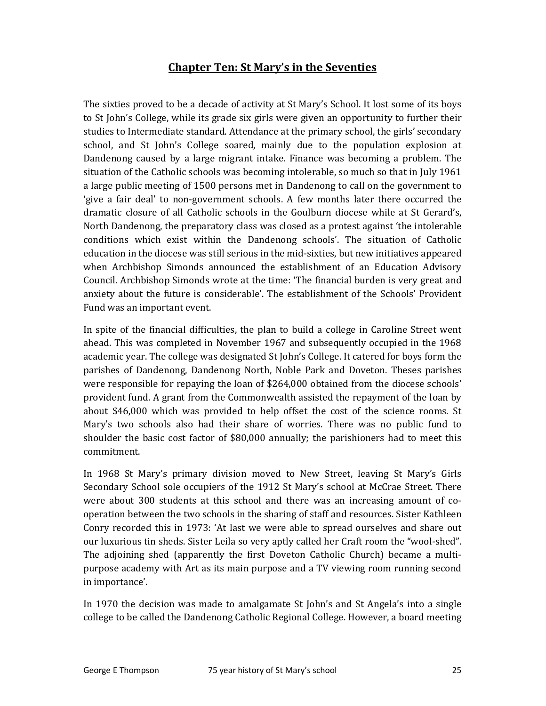### Chapter Ten: St Mary's in the Seventies

The sixties proved to be a decade of activity at St Mary's School. It lost some of its boys to St John's College, while its grade six girls were given an opportunity to further their studies to Intermediate standard. Attendance at the primary school, the girls' secondary school, and St John's College soared, mainly due to the population explosion at Dandenong caused by a large migrant intake. Finance was becoming a problem. The situation of the Catholic schools was becoming intolerable, so much so that in July 1961 a large public meeting of 1500 persons met in Dandenong to call on the government to 'give a fair deal' to non-government schools. A few months later there occurred the dramatic closure of all Catholic schools in the Goulburn diocese while at St Gerard's, North Dandenong, the preparatory class was closed as a protest against 'the intolerable conditions which exist within the Dandenong schools'. The situation of Catholic education in the diocese was still serious in the mid-sixties, but new initiatives appeared when Archbishop Simonds announced the establishment of an Education Advisory Council. Archbishop Simonds wrote at the time: 'The financial burden is very great and anxiety about the future is considerable'. The establishment of the Schools' Provident Fund was an important event.

In spite of the financial difficulties, the plan to build a college in Caroline Street went ahead. This was completed in November 1967 and subsequently occupied in the 1968 academic year. The college was designated St John's College. It catered for boys form the parishes of Dandenong, Dandenong North, Noble Park and Doveton. Theses parishes were responsible for repaying the loan of \$264,000 obtained from the diocese schools' provident fund. A grant from the Commonwealth assisted the repayment of the loan by about \$46,000 which was provided to help offset the cost of the science rooms. St Mary's two schools also had their share of worries. There was no public fund to shoulder the basic cost factor of \$80,000 annually; the parishioners had to meet this commitment.

In 1968 St Mary's primary division moved to New Street, leaving St Mary's Girls Secondary School sole occupiers of the 1912 St Mary's school at McCrae Street. There were about 300 students at this school and there was an increasing amount of cooperation between the two schools in the sharing of staff and resources. Sister Kathleen Conry recorded this in 1973: 'At last we were able to spread ourselves and share out our luxurious tin sheds. Sister Leila so very aptly called her Craft room the "wool-shed". The adjoining shed (apparently the first Doveton Catholic Church) became a multipurpose academy with Art as its main purpose and a TV viewing room running second in importance'.

In 1970 the decision was made to amalgamate St John's and St Angela's into a single college to be called the Dandenong Catholic Regional College. However, a board meeting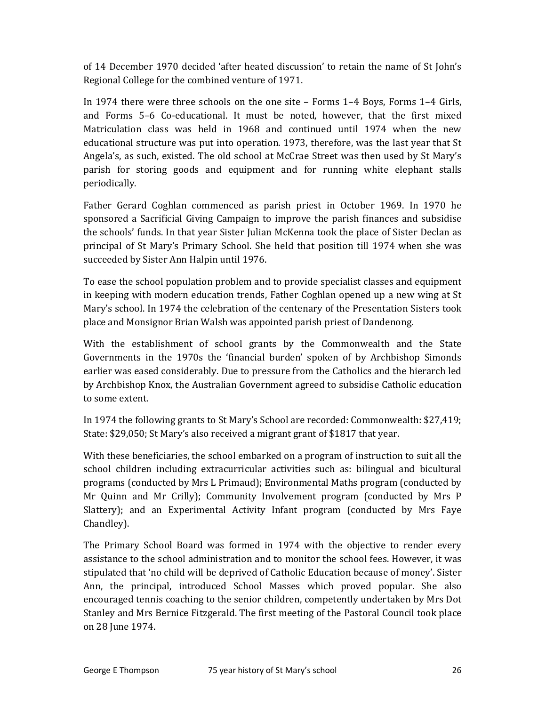of 14 December 1970 decided 'after heated discussion' to retain the name of St John's Regional College for the combined venture of 1971.

In 1974 there were three schools on the one site – Forms 1–4 Boys, Forms 1–4 Girls, and Forms 5–6 Co-educational. It must be noted, however, that the first mixed Matriculation class was held in 1968 and continued until 1974 when the new educational structure was put into operation. 1973, therefore, was the last year that St Angela's, as such, existed. The old school at McCrae Street was then used by St Mary's parish for storing goods and equipment and for running white elephant stalls periodically.

Father Gerard Coghlan commenced as parish priest in October 1969. In 1970 he sponsored a Sacrificial Giving Campaign to improve the parish finances and subsidise the schools' funds. In that year Sister Julian McKenna took the place of Sister Declan as principal of St Mary's Primary School. She held that position till 1974 when she was succeeded by Sister Ann Halpin until 1976.

To ease the school population problem and to provide specialist classes and equipment in keeping with modern education trends, Father Coghlan opened up a new wing at St Mary's school. In 1974 the celebration of the centenary of the Presentation Sisters took place and Monsignor Brian Walsh was appointed parish priest of Dandenong.

With the establishment of school grants by the Commonwealth and the State Governments in the 1970s the 'financial burden' spoken of by Archbishop Simonds earlier was eased considerably. Due to pressure from the Catholics and the hierarch led by Archbishop Knox, the Australian Government agreed to subsidise Catholic education to some extent.

In 1974 the following grants to St Mary's School are recorded: Commonwealth: \$27,419; State: \$29,050; St Mary's also received a migrant grant of \$1817 that year.

With these beneficiaries, the school embarked on a program of instruction to suit all the school children including extracurricular activities such as: bilingual and bicultural programs (conducted by Mrs L Primaud); Environmental Maths program (conducted by Mr Quinn and Mr Crilly); Community Involvement program (conducted by Mrs P Slattery); and an Experimental Activity Infant program (conducted by Mrs Faye Chandley).

The Primary School Board was formed in 1974 with the objective to render every assistance to the school administration and to monitor the school fees. However, it was stipulated that 'no child will be deprived of Catholic Education because of money'. Sister Ann, the principal, introduced School Masses which proved popular. She also encouraged tennis coaching to the senior children, competently undertaken by Mrs Dot Stanley and Mrs Bernice Fitzgerald. The first meeting of the Pastoral Council took place on 28 June 1974.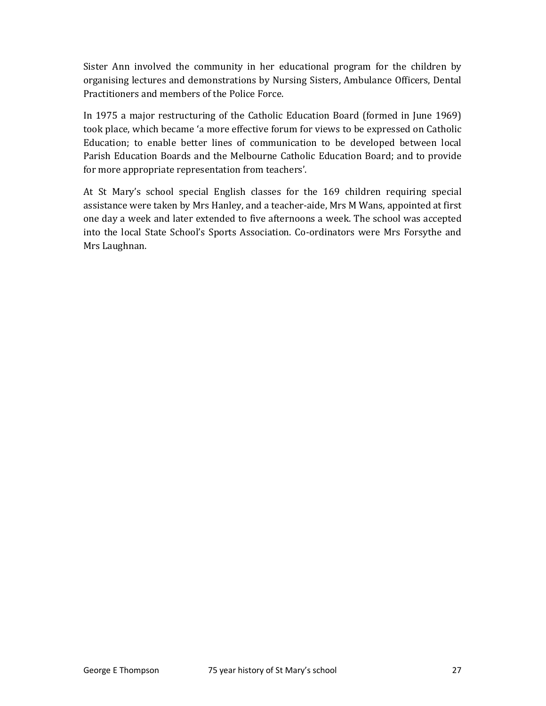Sister Ann involved the community in her educational program for the children by organising lectures and demonstrations by Nursing Sisters, Ambulance Officers, Dental Practitioners and members of the Police Force.

In 1975 a major restructuring of the Catholic Education Board (formed in June 1969) took place, which became 'a more effective forum for views to be expressed on Catholic Education; to enable better lines of communication to be developed between local Parish Education Boards and the Melbourne Catholic Education Board; and to provide for more appropriate representation from teachers'.

At St Mary's school special English classes for the 169 children requiring special assistance were taken by Mrs Hanley, and a teacher-aide, Mrs M Wans, appointed at first one day a week and later extended to five afternoons a week. The school was accepted into the local State School's Sports Association. Co-ordinators were Mrs Forsythe and Mrs Laughnan.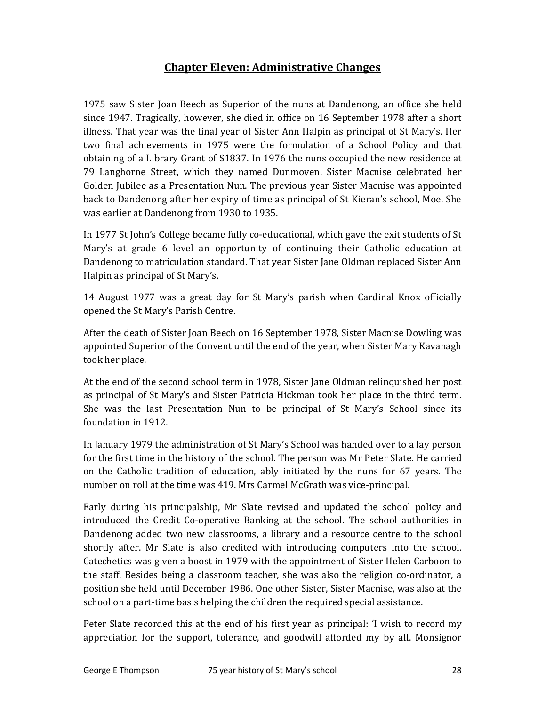# Chapter Eleven: Administrative Changes

1975 saw Sister Joan Beech as Superior of the nuns at Dandenong, an office she held since 1947. Tragically, however, she died in office on 16 September 1978 after a short illness. That year was the final year of Sister Ann Halpin as principal of St Mary's. Her two final achievements in 1975 were the formulation of a School Policy and that obtaining of a Library Grant of \$1837. In 1976 the nuns occupied the new residence at 79 Langhorne Street, which they named Dunmoven. Sister Macnise celebrated her Golden Jubilee as a Presentation Nun. The previous year Sister Macnise was appointed back to Dandenong after her expiry of time as principal of St Kieran's school, Moe. She was earlier at Dandenong from 1930 to 1935.

In 1977 St John's College became fully co-educational, which gave the exit students of St Mary's at grade 6 level an opportunity of continuing their Catholic education at Dandenong to matriculation standard. That year Sister Jane Oldman replaced Sister Ann Halpin as principal of St Mary's.

14 August 1977 was a great day for St Mary's parish when Cardinal Knox officially opened the St Mary's Parish Centre.

After the death of Sister Joan Beech on 16 September 1978, Sister Macnise Dowling was appointed Superior of the Convent until the end of the year, when Sister Mary Kavanagh took her place.

At the end of the second school term in 1978, Sister Jane Oldman relinquished her post as principal of St Mary's and Sister Patricia Hickman took her place in the third term. She was the last Presentation Nun to be principal of St Mary's School since its foundation in 1912.

In January 1979 the administration of St Mary's School was handed over to a lay person for the first time in the history of the school. The person was Mr Peter Slate. He carried on the Catholic tradition of education, ably initiated by the nuns for 67 years. The number on roll at the time was 419. Mrs Carmel McGrath was vice-principal.

Early during his principalship, Mr Slate revised and updated the school policy and introduced the Credit Co-operative Banking at the school. The school authorities in Dandenong added two new classrooms, a library and a resource centre to the school shortly after. Mr Slate is also credited with introducing computers into the school. Catechetics was given a boost in 1979 with the appointment of Sister Helen Carboon to the staff. Besides being a classroom teacher, she was also the religion co-ordinator, a position she held until December 1986. One other Sister, Sister Macnise, was also at the school on a part-time basis helping the children the required special assistance.

Peter Slate recorded this at the end of his first year as principal: 'I wish to record my appreciation for the support, tolerance, and goodwill afforded my by all. Monsignor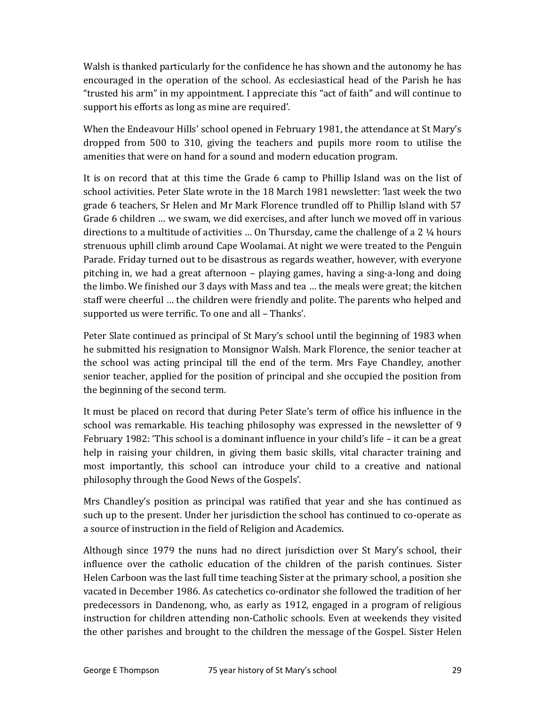Walsh is thanked particularly for the confidence he has shown and the autonomy he has encouraged in the operation of the school. As ecclesiastical head of the Parish he has "trusted his arm" in my appointment. I appreciate this "act of faith" and will continue to support his efforts as long as mine are required'.

When the Endeavour Hills' school opened in February 1981, the attendance at St Mary's dropped from 500 to 310, giving the teachers and pupils more room to utilise the amenities that were on hand for a sound and modern education program.

It is on record that at this time the Grade 6 camp to Phillip Island was on the list of school activities. Peter Slate wrote in the 18 March 1981 newsletter: 'last week the two grade 6 teachers, Sr Helen and Mr Mark Florence trundled off to Phillip Island with 57 Grade 6 children … we swam, we did exercises, and after lunch we moved off in various directions to a multitude of activities … On Thursday, came the challenge of a 2 ¼ hours strenuous uphill climb around Cape Woolamai. At night we were treated to the Penguin Parade. Friday turned out to be disastrous as regards weather, however, with everyone pitching in, we had a great afternoon – playing games, having a sing-a-long and doing the limbo. We finished our 3 days with Mass and tea … the meals were great; the kitchen staff were cheerful … the children were friendly and polite. The parents who helped and supported us were terrific. To one and all – Thanks'.

Peter Slate continued as principal of St Mary's school until the beginning of 1983 when he submitted his resignation to Monsignor Walsh. Mark Florence, the senior teacher at the school was acting principal till the end of the term. Mrs Faye Chandley, another senior teacher, applied for the position of principal and she occupied the position from the beginning of the second term.

It must be placed on record that during Peter Slate's term of office his influence in the school was remarkable. His teaching philosophy was expressed in the newsletter of 9 February 1982: 'This school is a dominant influence in your child's life – it can be a great help in raising your children, in giving them basic skills, vital character training and most importantly, this school can introduce your child to a creative and national philosophy through the Good News of the Gospels'.

Mrs Chandley's position as principal was ratified that year and she has continued as such up to the present. Under her jurisdiction the school has continued to co-operate as a source of instruction in the field of Religion and Academics.

Although since 1979 the nuns had no direct jurisdiction over St Mary's school, their influence over the catholic education of the children of the parish continues. Sister Helen Carboon was the last full time teaching Sister at the primary school, a position she vacated in December 1986. As catechetics co-ordinator she followed the tradition of her predecessors in Dandenong, who, as early as 1912, engaged in a program of religious instruction for children attending non-Catholic schools. Even at weekends they visited the other parishes and brought to the children the message of the Gospel. Sister Helen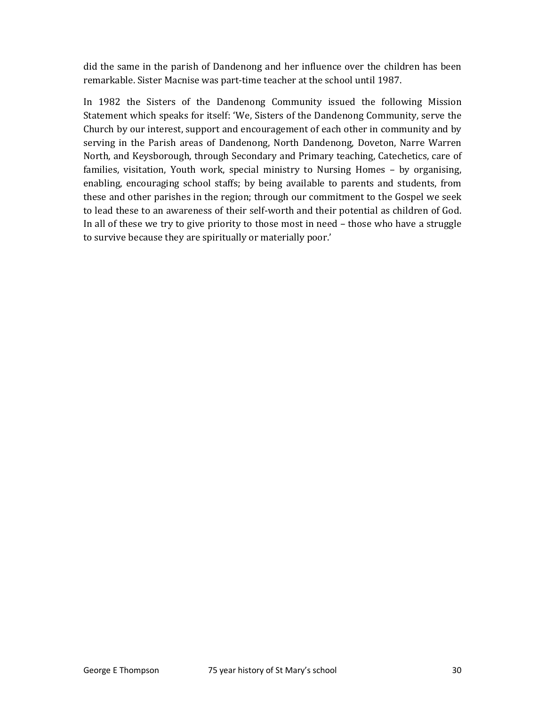did the same in the parish of Dandenong and her influence over the children has been remarkable. Sister Macnise was part-time teacher at the school until 1987.

In 1982 the Sisters of the Dandenong Community issued the following Mission Statement which speaks for itself: 'We, Sisters of the Dandenong Community, serve the Church by our interest, support and encouragement of each other in community and by serving in the Parish areas of Dandenong, North Dandenong, Doveton, Narre Warren North, and Keysborough, through Secondary and Primary teaching, Catechetics, care of families, visitation, Youth work, special ministry to Nursing Homes – by organising, enabling, encouraging school staffs; by being available to parents and students, from these and other parishes in the region; through our commitment to the Gospel we seek to lead these to an awareness of their self-worth and their potential as children of God. In all of these we try to give priority to those most in need – those who have a struggle to survive because they are spiritually or materially poor.'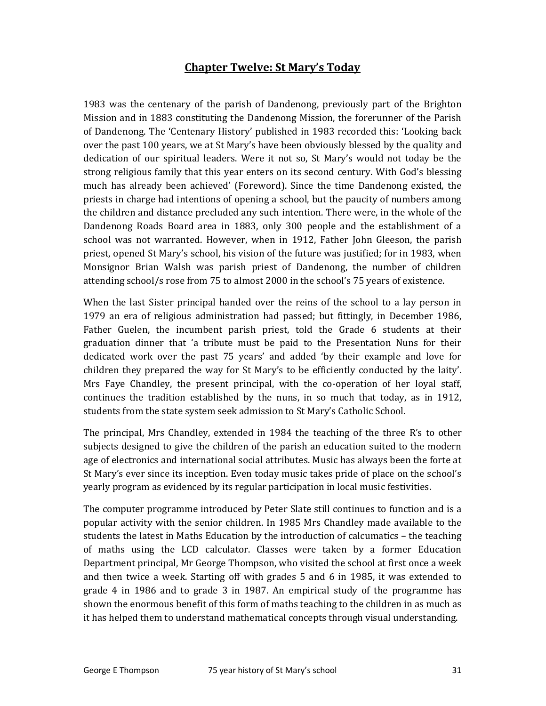### Chapter Twelve: St Mary's Today

1983 was the centenary of the parish of Dandenong, previously part of the Brighton Mission and in 1883 constituting the Dandenong Mission, the forerunner of the Parish of Dandenong. The 'Centenary History' published in 1983 recorded this: 'Looking back over the past 100 years, we at St Mary's have been obviously blessed by the quality and dedication of our spiritual leaders. Were it not so, St Mary's would not today be the strong religious family that this year enters on its second century. With God's blessing much has already been achieved' (Foreword). Since the time Dandenong existed, the priests in charge had intentions of opening a school, but the paucity of numbers among the children and distance precluded any such intention. There were, in the whole of the Dandenong Roads Board area in 1883, only 300 people and the establishment of a school was not warranted. However, when in 1912, Father John Gleeson, the parish priest, opened St Mary's school, his vision of the future was justified; for in 1983, when Monsignor Brian Walsh was parish priest of Dandenong, the number of children attending school/s rose from 75 to almost 2000 in the school's 75 years of existence.

When the last Sister principal handed over the reins of the school to a lay person in 1979 an era of religious administration had passed; but fittingly, in December 1986, Father Guelen, the incumbent parish priest, told the Grade 6 students at their graduation dinner that 'a tribute must be paid to the Presentation Nuns for their dedicated work over the past 75 years' and added 'by their example and love for children they prepared the way for St Mary's to be efficiently conducted by the laity'. Mrs Faye Chandley, the present principal, with the co-operation of her loyal staff, continues the tradition established by the nuns, in so much that today, as in 1912, students from the state system seek admission to St Mary's Catholic School.

The principal, Mrs Chandley, extended in 1984 the teaching of the three R's to other subjects designed to give the children of the parish an education suited to the modern age of electronics and international social attributes. Music has always been the forte at St Mary's ever since its inception. Even today music takes pride of place on the school's yearly program as evidenced by its regular participation in local music festivities.

The computer programme introduced by Peter Slate still continues to function and is a popular activity with the senior children. In 1985 Mrs Chandley made available to the students the latest in Maths Education by the introduction of calcumatics – the teaching of maths using the LCD calculator. Classes were taken by a former Education Department principal, Mr George Thompson, who visited the school at first once a week and then twice a week. Starting off with grades 5 and 6 in 1985, it was extended to grade 4 in 1986 and to grade 3 in 1987. An empirical study of the programme has shown the enormous benefit of this form of maths teaching to the children in as much as it has helped them to understand mathematical concepts through visual understanding.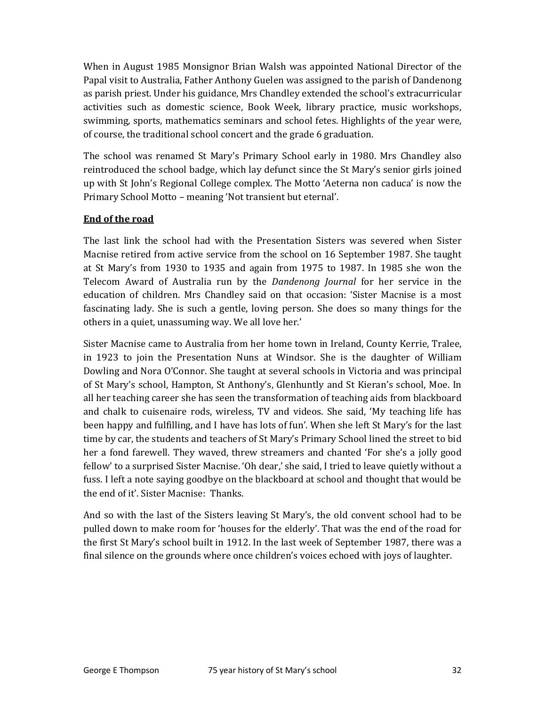When in August 1985 Monsignor Brian Walsh was appointed National Director of the Papal visit to Australia, Father Anthony Guelen was assigned to the parish of Dandenong as parish priest. Under his guidance, Mrs Chandley extended the school's extracurricular activities such as domestic science, Book Week, library practice, music workshops, swimming, sports, mathematics seminars and school fetes. Highlights of the year were, of course, the traditional school concert and the grade 6 graduation.

The school was renamed St Mary's Primary School early in 1980. Mrs Chandley also reintroduced the school badge, which lay defunct since the St Mary's senior girls joined up with St John's Regional College complex. The Motto 'Aeterna non caduca' is now the Primary School Motto – meaning 'Not transient but eternal'.

#### End of the road

The last link the school had with the Presentation Sisters was severed when Sister Macnise retired from active service from the school on 16 September 1987. She taught at St Mary's from 1930 to 1935 and again from 1975 to 1987. In 1985 she won the Telecom Award of Australia run by the Dandenong Journal for her service in the education of children. Mrs Chandley said on that occasion: 'Sister Macnise is a most fascinating lady. She is such a gentle, loving person. She does so many things for the others in a quiet, unassuming way. We all love her.'

Sister Macnise came to Australia from her home town in Ireland, County Kerrie, Tralee, in 1923 to join the Presentation Nuns at Windsor. She is the daughter of William Dowling and Nora O'Connor. She taught at several schools in Victoria and was principal of St Mary's school, Hampton, St Anthony's, Glenhuntly and St Kieran's school, Moe. In all her teaching career she has seen the transformation of teaching aids from blackboard and chalk to cuisenaire rods, wireless, TV and videos. She said, 'My teaching life has been happy and fulfilling, and I have has lots of fun'. When she left St Mary's for the last time by car, the students and teachers of St Mary's Primary School lined the street to bid her a fond farewell. They waved, threw streamers and chanted 'For she's a jolly good fellow' to a surprised Sister Macnise. 'Oh dear,' she said, I tried to leave quietly without a fuss. I left a note saying goodbye on the blackboard at school and thought that would be the end of it'. Sister Macnise: Thanks.

And so with the last of the Sisters leaving St Mary's, the old convent school had to be pulled down to make room for 'houses for the elderly'. That was the end of the road for the first St Mary's school built in 1912. In the last week of September 1987, there was a final silence on the grounds where once children's voices echoed with joys of laughter.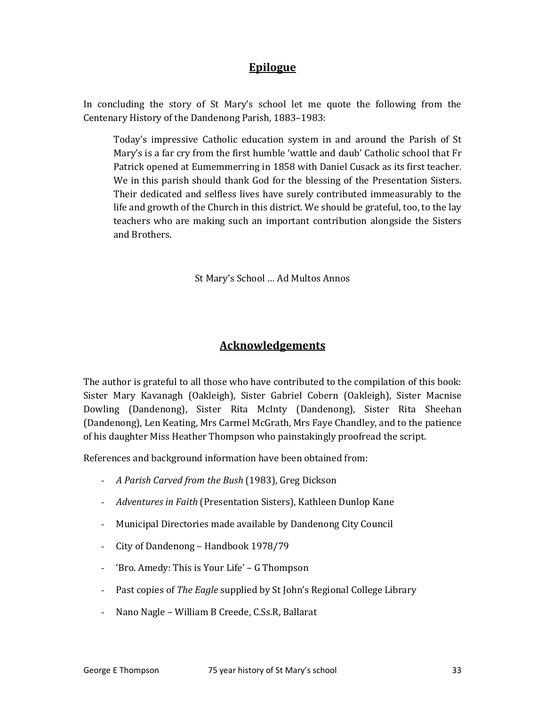# **Epilogue**

In concluding the story of St Mary's school let me quote the following from the Centenary History of the Dandenong Parish, 1883–1983:

Today's impressive Catholic education system in and around the Parish of St Mary's is a far cry from the first humble 'wattle and daub' Catholic school that Fr Patrick opened at Eumemmerring in 1858 with Daniel Cusack as its first teacher. We in this parish should thank God for the blessing of the Presentation Sisters. Their dedicated and selfless lives have surely contributed immeasurably to the life and growth of the Church in this district. We should be grateful, too, to the lay teachers who are making such an important contribution alongside the Sisters and Brothers.

St Mary's School … Ad Multos Annos

#### Acknowledgements

The author is grateful to all those who have contributed to the compilation of this book: Sister Mary Kavanagh (Oakleigh), Sister Gabriel Cobern (Oakleigh), Sister Macnise Dowling (Dandenong), Sister Rita McInty (Dandenong), Sister Rita Sheehan (Dandenong), Len Keating, Mrs Carmel McGrath, Mrs Faye Chandley, and to the patience of his daughter Miss Heather Thompson who painstakingly proofread the script.

References and background information have been obtained from:

- A Parish Carved from the Bush (1983), Greg Dickson
- Adventures in Faith (Presentation Sisters), Kathleen Dunlop Kane
- Municipal Directories made available by Dandenong City Council
- City of Dandenong Handbook 1978/79
- 'Bro. Amedy: This is Your Life' G Thompson
- Past copies of The Eagle supplied by St John's Regional College Library
- Nano Nagle William B Creede, C.Ss.R, Ballarat